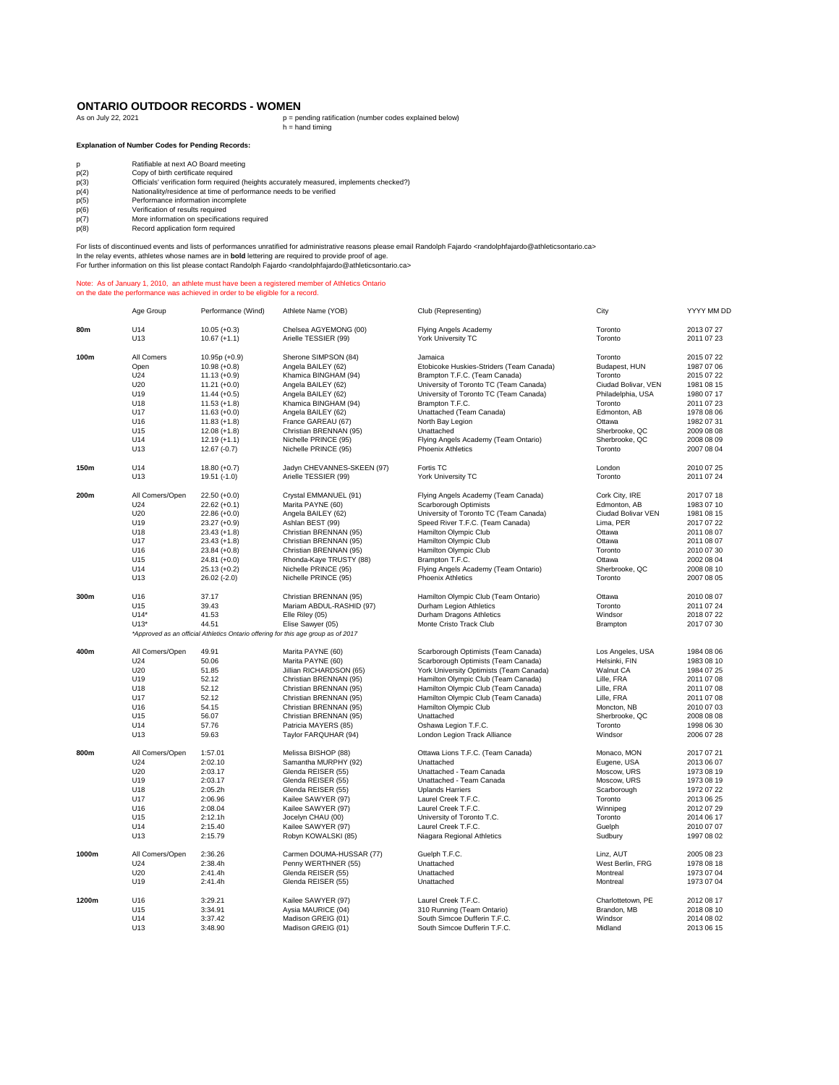## **ONTARIO OUTDOOR RECORDS - WOMEN**<br>As on July 22, 2021

As on July 22, 2021 **p** = pending ratification (number codes explained below)<br>h = hand timing

## **Explanation of Number Codes for Pending Records:**

|  | Ratifiable at next AO Board meetir |  |  |
|--|------------------------------------|--|--|
|  |                                    |  |  |

- p(2) copy of birth certificate required<br>p(3) Officials' verification form required (h<br>p(4) Nationality/residence at time of performance information incomplete<br>p(6) Performance information incomplete<br>p(6) Verification of re
- p Ratifiable at next AO Board meeting p(2) Copy of birth certificate required p(3) Officials' verification form required (heights accurately measured, implements checked?) p(4) Nationality/residence at time of performance needs to be verified
- 
- 
- p(6) Verification of results required<br>
p(7) More information on specificati<br>
p(8) Record application form require
- p(7) More information on specifications required p(8) Record application form required

For lists of discontinued events and lists of performances unratified for administrative reasons please email Randolph Fajardo ⊲randolphfajardo@athleticsontario.ca><br>In the relay events, athletes whose names are in **bold**

## Note: As of January 1, 2010, an athlete must have been a registered member of Athletics Ontario on the date the performance was achieved in order to be eligible for a record.

|       | Age Group       | Performance (Wind)              | Athlete Name (YOB)                                                                | Club (Representing)                                              | City                      | YYYY MM DD               |
|-------|-----------------|---------------------------------|-----------------------------------------------------------------------------------|------------------------------------------------------------------|---------------------------|--------------------------|
| 80m   | U14             | $10.05 (+0.3)$                  | Chelsea AGYEMONG (00)                                                             | Flying Angels Academy                                            | Toronto                   | 2013 07 27               |
|       | U <sub>13</sub> | $10.67 (+1.1)$                  | Arielle TESSIER (99)                                                              | York University TC                                               | Toronto                   | 2011 07 23               |
| 100m  | All Comers      | $10.95p (+0.9)$                 | Sherone SIMPSON (84)                                                              | Jamaica                                                          | Toronto                   | 2015 07 22               |
|       | Open            | $10.98 (+0.8)$                  | Angela BAILEY (62)                                                                | Etobicoke Huskies-Striders (Team Canada)                         | Budapest, HUN             | 1987 07 06               |
|       | U24             | $11.13 (+0.9)$                  | Khamica BINGHAM (94)                                                              | Brampton T.F.C. (Team Canada)                                    | Toronto                   | 2015 07 22               |
|       | U20             | $11.21 (+0.0)$                  | Angela BAILEY (62)                                                                | University of Toronto TC (Team Canada)                           | Ciudad Bolivar, VEN       | 1981 08 15               |
|       | U19             | $11.44 (+0.5)$                  | Angela BAILEY (62)                                                                | University of Toronto TC (Team Canada)                           | Philadelphia, USA         | 1980 07 17               |
|       | U18             |                                 | Khamica BINGHAM (94)                                                              | Brampton T.F.C.                                                  | Toronto                   | 2011 07 23               |
|       | U17             | $11.53 (+1.8)$                  | Angela BAILEY (62)                                                                | Unattached (Team Canada)                                         |                           |                          |
|       |                 | $11.63 (+0.0)$                  |                                                                                   |                                                                  | Edmonton, AB              | 1978 08 06               |
|       | U16             | $11.83 (+1.8)$                  | France GAREAU (67)                                                                | North Bay Legion                                                 | Ottawa                    | 1982 07 31               |
|       | U <sub>15</sub> | $12.08 (+1.8)$                  | Christian BRENNAN (95)                                                            | Unattached                                                       | Sherbrooke, QC            | 2009 08 08               |
|       | U14<br>U13      | $12.19 (+1.1)$<br>$12.67(-0.7)$ | Nichelle PRINCE (95)<br>Nichelle PRINCE (95)                                      | Flying Angels Academy (Team Ontario)<br><b>Phoenix Athletics</b> | Sherbrooke, QC<br>Toronto | 2008 08 09<br>2007 08 04 |
| 150m  | U14             | $18.80 (+0.7)$                  | Jadyn CHEVANNES-SKEEN (97)                                                        | Fortis TC                                                        | London                    | 2010 07 25               |
|       | U13             | 19.51 (-1.0)                    | Arielle TESSIER (99)                                                              | York University TC                                               | Toronto                   | 2011 07 24               |
| 200m  | All Comers/Open | $22.50 (+0.0)$                  | Crystal EMMANUEL (91)                                                             | Flying Angels Academy (Team Canada)                              | Cork City, IRE            | 2017 07 18               |
|       | U24             | $22.62 (+0.1)$                  | Marita PAYNE (60)                                                                 | Scarborough Optimists                                            | Edmonton, AB              | 1983 07 10               |
|       | U20             | $22.86 (+0.0)$                  | Angela BAILEY (62)                                                                | University of Toronto TC (Team Canada)                           | Ciudad Bolivar VEN        | 1981 08 15               |
|       | U19             | $23.27 (+0.9)$                  | Ashlan BEST (99)                                                                  | Speed River T.F.C. (Team Canada)                                 | Lima, PER                 | 2017 07 22               |
|       | U18             | $23.43 (+1.8)$                  | Christian BRENNAN (95)                                                            | Hamilton Olympic Club                                            | Ottawa                    | 2011 08 07               |
|       | U17             | $23.43 (+1.8)$                  | Christian BRENNAN (95)                                                            | Hamilton Olympic Club                                            | Ottawa                    | 2011 08 07               |
|       | U16             | $23.84 (+0.8)$                  | Christian BRENNAN (95)                                                            | Hamilton Olympic Club                                            | Toronto                   | 2010 07 30               |
|       | U15             | $24.81 (+0.0)$                  | Rhonda-Kaye TRUSTY (88)                                                           | Brampton T.F.C.                                                  | Ottawa                    | 2002 08 04               |
|       | U14             | $25.13 (+0.2)$                  | Nichelle PRINCE (95)                                                              | Flying Angels Academy (Team Ontario)                             | Sherbrooke, QC            | 2008 08 10               |
|       | U13             | 26.02 (-2.0)                    | Nichelle PRINCE (95)                                                              | <b>Phoenix Athletics</b>                                         | Toronto                   | 2007 08 05               |
| 300m  | U16             | 37.17                           | Christian BRENNAN (95)                                                            | Hamilton Olympic Club (Team Ontario)                             | Ottawa                    | 2010 08 07               |
|       | U15             | 39.43                           | Mariam ABDUL-RASHID (97)                                                          | Durham Legion Athletics                                          | Toronto                   | 2011 07 24               |
|       | $U14*$          | 41.53                           | Elle Riley (05)                                                                   | Durham Dragons Athletics                                         | Windsor                   | 2018 07 22               |
|       | $U13*$          | 44.51                           | Elise Sawyer (05)                                                                 | Monte Cristo Track Club                                          | Brampton                  | 2017 07 30               |
|       |                 |                                 | *Approved as an official Athletics Ontario offering for this age group as of 2017 |                                                                  |                           |                          |
| 400m  | All Comers/Open | 49.91                           | Marita PAYNE (60)                                                                 | Scarborough Optimists (Team Canada)                              | Los Angeles, USA          | 1984 08 06               |
|       | U24             | 50.06                           | Marita PAYNE (60)                                                                 | Scarborough Optimists (Team Canada)                              | Helsinki, FIN             | 1983 08 10               |
|       | U20             | 51.85                           | Jillian RICHARDSON (65)                                                           | York University Optimists (Team Canada)                          | Walnut CA                 | 1984 07 25               |
|       | U19             | 52.12                           | Christian BRENNAN (95)                                                            | Hamilton Olympic Club (Team Canada)                              | Lille, FRA                | 2011 07 08               |
|       | U18             | 52.12                           | Christian BRENNAN (95)                                                            | Hamilton Olympic Club (Team Canada)                              | Lille, FRA                | 2011 07 08               |
|       | U17             | 52.12                           | Christian BRENNAN (95)                                                            | Hamilton Olympic Club (Team Canada)                              | Lille, FRA                | 2011 07 08               |
|       | U16             |                                 |                                                                                   |                                                                  | Moncton, NB               | 2010 07 03               |
|       | U <sub>15</sub> | 54.15                           | Christian BRENNAN (95)                                                            | Hamilton Olympic Club                                            | Sherbrooke, QC            | 2008 08 08               |
|       |                 | 56.07                           | Christian BRENNAN (95)                                                            | Unattached                                                       |                           |                          |
|       | U14<br>U13      | 57.76<br>59.63                  | Patricia MAYERS (85)<br>Taylor FARQUHAR (94)                                      | Oshawa Legion T.F.C.<br>London Legion Track Alliance             | Toronto<br>Windsor        | 1998 06 30<br>2006 07 28 |
| 800m  | All Comers/Open | 1:57.01                         | Melissa BISHOP (88)                                                               | Ottawa Lions T.F.C. (Team Canada)                                | Monaco, MON               | 2017 07 21               |
|       | U24             | 2:02.10                         | Samantha MURPHY (92)                                                              | Unattached                                                       | Eugene, USA               | 2013 06 07               |
|       | U20             | 2:03.17                         | Glenda REISER (55)                                                                | Unattached - Team Canada                                         | Moscow, URS               | 1973 08 19               |
|       | U19             | 2:03.17                         | Glenda REISER (55)                                                                | Unattached - Team Canada                                         | Moscow, URS               | 1973 08 19               |
|       | U18             | 2:05.2h                         | Glenda REISER (55)                                                                | <b>Uplands Harriers</b>                                          | Scarborough               | 1972 07 22               |
|       | U17             |                                 |                                                                                   | Laurel Creek T.F.C.                                              | Toronto                   | 2013 06 25               |
|       |                 | 2:06.96                         | Kailee SAWYER (97)                                                                |                                                                  |                           |                          |
|       | U16             | 2:08.04                         | Kailee SAWYER (97)                                                                | Laurel Creek T.F.C.                                              | Winnipeg                  | 2012 07 29               |
|       | U <sub>15</sub> | 2:12.1h                         | Jocelyn CHAU (00)                                                                 | University of Toronto T.C.                                       | Toronto                   | 2014 06 17               |
|       | U14             | 2:15.40                         | Kailee SAWYER (97)                                                                | Laurel Creek T.F.C.                                              | Guelph                    | 2010 07 07               |
|       | U <sub>13</sub> | 2:15.79                         | Robyn KOWALSKI (85)                                                               | Niagara Regional Athletics                                       | Sudbury                   | 1997 08 02               |
| 1000m | All Comers/Open | 2:36.26                         | Carmen DOUMA-HUSSAR (77)                                                          | Guelph T.F.C.                                                    | Linz, AUT                 | 2005 08 23               |
|       | U24             | 2:38.4h                         | Penny WERTHNER (55)                                                               | Unattached                                                       | West Berlin, FRG          | 1978 08 18               |
|       | U20             | 2:41.4h                         | Glenda REISER (55)                                                                | Unattached                                                       | Montreal                  | 1973 07 04               |
|       | U19             | 2:41.4h                         | Glenda REISER (55)                                                                | Unattached                                                       | Montreal                  | 1973 07 04               |
| 1200m | U16             | 3:29.21                         | Kailee SAWYER (97)                                                                | Laurel Creek T.F.C.                                              | Charlottetown, PE         | 2012 08 17               |
|       | U <sub>15</sub> | 3:34.91                         | Aysia MAURICE (04)                                                                | 310 Running (Team Ontario)                                       | Brandon, MB               | 2018 08 10               |
|       | U14             | 3:37.42                         | Madison GREIG (01)                                                                | South Simcoe Dufferin T.F.C.                                     | Windsor                   | 2014 08 02               |
|       | U <sub>13</sub> | 3:48.90                         | Madison GREIG (01)                                                                | South Simcoe Dufferin T.F.C.                                     | Midland                   | 2013 06 15               |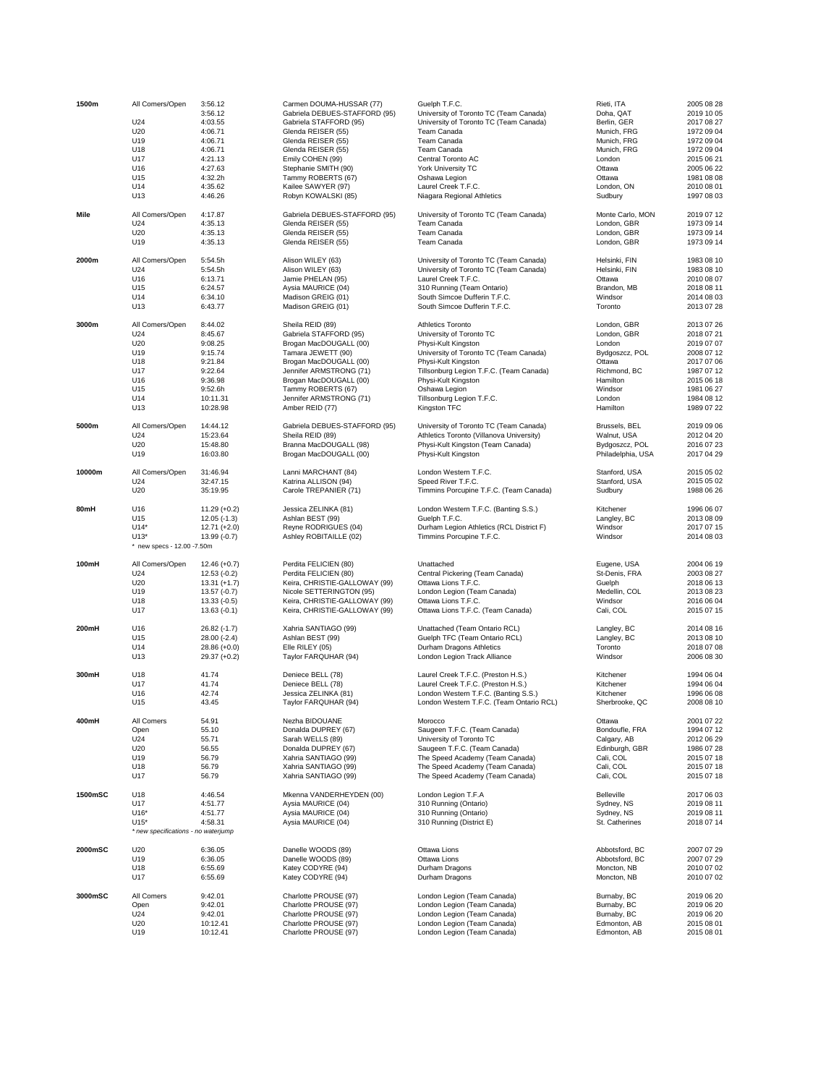| 1500m   | All Comers/Open                      | 3:56.12                         | Carmen DOUMA-HUSSAR (77)                       | Guelph T.F.C.                                              | Rieti, ITA                       | 2005 08 28               |
|---------|--------------------------------------|---------------------------------|------------------------------------------------|------------------------------------------------------------|----------------------------------|--------------------------|
|         |                                      | 3:56.12                         | Gabriela DEBUES-STAFFORD (95)                  | University of Toronto TC (Team Canada)                     | Doha, QAT                        | 2019 10 05               |
|         | U24                                  | 4:03.55                         | Gabriela STAFFORD (95)                         | University of Toronto TC (Team Canada)                     | Berlin, GER                      | 2017 08 27               |
|         | U20                                  | 4:06.71                         | Glenda REISER (55)                             | Team Canada                                                | Munich, FRG                      | 1972 09 04               |
|         | U19                                  | 4:06.71                         | Glenda REISER (55)                             | Team Canada                                                | Munich, FRG                      | 1972 09 04               |
|         | U18                                  | 4:06.71                         | Glenda REISER (55)                             | Team Canada                                                | Munich, FRG                      | 1972 09 04               |
|         | U17                                  | 4:21.13                         | Emily COHEN (99)                               | Central Toronto AC                                         | London                           | 2015 06 21               |
|         | U16                                  | 4:27.63                         | Stephanie SMITH (90)                           | York University TC                                         | Ottawa                           | 2005 06 22               |
|         | U15                                  | 4:32.2h                         | Tammy ROBERTS (67)                             | Oshawa Legion                                              | Ottawa                           | 1981 08 08               |
|         | U14                                  | 4:35.62                         | Kailee SAWYER (97)                             | Laurel Creek T.F.C.                                        | London, ON                       | 2010 08 01               |
|         | U13                                  | 4:46.26                         | Robyn KOWALSKI (85)                            | Niagara Regional Athletics                                 | Sudbury                          | 1997 08 03               |
| Mile    | All Comers/Open                      | 4:17.87                         | Gabriela DEBUES-STAFFORD (95)                  | University of Toronto TC (Team Canada)                     | Monte Carlo, MON                 | 2019 07 12               |
|         | U24                                  | 4:35.13                         | Glenda REISER (55)                             | Team Canada                                                | London, GBR                      | 1973 09 14               |
|         | U20                                  | 4:35.13                         | Glenda REISER (55)                             | Team Canada                                                | London, GBR                      | 1973 09 14               |
|         | U19                                  | 4:35.13                         | Glenda REISER (55)                             | Team Canada                                                | London, GBR                      | 1973 09 14               |
| 2000m   | All Comers/Open                      | 5:54.5h                         | Alison WILEY (63)                              | University of Toronto TC (Team Canada)                     | Helsinki, FIN                    | 1983 08 10               |
|         | U <sub>24</sub>                      | 5:54.5h                         | Alison WILEY (63)                              | University of Toronto TC (Team Canada)                     | Helsinki, FIN                    | 1983 08 10               |
|         | U16                                  | 6:13.71                         | Jamie PHELAN (95)                              | Laurel Creek T.F.C.                                        | Ottawa                           | 2010 08 07               |
|         | U15                                  | 6:24.57                         | Aysia MAURICE (04)                             | 310 Running (Team Ontario)                                 | Brandon, MB                      | 2018 08 11               |
|         | U14                                  | 6:34.10                         | Madison GREIG (01)                             | South Simcoe Dufferin T.F.C.                               | Windsor                          | 2014 08 03               |
|         | U13                                  | 6:43.77                         | Madison GREIG (01)                             | South Simcoe Dufferin T.F.C.                               | Toronto                          | 2013 07 28               |
| 3000m   | All Comers/Open                      | 8:44.02                         | Sheila REID (89)                               | Athletics Toronto                                          | London, GBR                      | 2013 07 26               |
|         | U24                                  | 8:45.67                         | Gabriela STAFFORD (95)                         | University of Toronto TC                                   | London, GBR                      | 2018 07 21               |
|         | U20                                  | 9:08.25                         | Brogan MacDOUGALL (00)                         | Physi-Kult Kingston                                        | London                           | 2019 07 07               |
|         | U19                                  | 9:15.74                         | Tamara JEWETT (90)                             | University of Toronto TC (Team Canada)                     | Bydgoszcz, POL                   | 2008 07 12               |
|         | U18                                  | 9:21.84                         | Brogan MacDOUGALL (00)                         | Physi-Kult Kingston                                        | Ottawa                           | 2017 07 06               |
|         | U17                                  | 9:22.64                         | Jennifer ARMSTRONG (71)                        | Tillsonburg Legion T.F.C. (Team Canada)                    | Richmond, BC                     | 1987 07 12               |
|         | U16                                  | 9:36.98                         | Brogan MacDOUGALL (00)                         | Physi-Kult Kingston                                        | Hamilton                         | 2015 06 18               |
|         | U15                                  | 9:52.6h                         | Tammy ROBERTS (67)                             | Oshawa Legion                                              | Windsor                          | 1981 06 27               |
|         | U14                                  | 10:11.31                        | Jennifer ARMSTRONG (71)                        | Tillsonburg Legion T.F.C.                                  | London                           | 1984 08 12               |
|         | U13                                  | 10:28.98                        | Amber REID (77)                                | Kingston TFC                                               | Hamilton                         | 1989 07 22               |
| 5000m   | All Comers/Open                      | 14:44.12                        | Gabriela DEBUES-STAFFORD (95)                  | University of Toronto TC (Team Canada)                     | Brussels, BEL                    | 2019 09 06               |
|         | U24                                  | 15:23.64                        | Sheila REID (89)                               | Athletics Toronto (Villanova University)                   | Walnut, USA                      | 2012 04 20               |
|         | U20                                  | 15:48.80                        | Branna MacDOUGALL (98)                         | Physi-Kult Kingston (Team Canada)                          | Bydgoszcz, POL                   | 2016 07 23               |
|         | U19                                  | 16:03.80                        | Brogan MacDOUGALL (00)                         | Physi-Kult Kingston                                        | Philadelphia, USA                | 2017 04 29               |
| 10000m  | All Comers/Open                      | 31:46.94                        | Lanni MARCHANT (84)                            | London Western T.F.C.                                      | Stanford, USA                    | 2015 05 02               |
|         | U24                                  | 32:47.15                        | Katrina ALLISON (94)                           | Speed River T.F.C.                                         | Stanford, USA                    | 2015 05 02               |
|         | U20                                  | 35:19.95                        | Carole TREPANIER (71)                          | Timmins Porcupine T.F.C. (Team Canada)                     | Sudbury                          | 1988 06 26               |
|         |                                      |                                 |                                                |                                                            |                                  |                          |
| 80mH    | U16<br>U15                           | $11.29 (+0.2)$<br>$12.05(-1.3)$ | Jessica ZELINKA (81)<br>Ashlan BEST (99)       | London Western T.F.C. (Banting S.S.)<br>Guelph T.F.C.      | Kitchener<br>Langley, BC         | 1996 06 07<br>2013 08 09 |
|         | $U14*$                               |                                 | Reyne RODRIGUES (04)                           |                                                            | Windsor                          | 2017 07 15               |
|         |                                      | $12.71 (+2.0)$                  |                                                | Durham Legion Athletics (RCL District F)                   |                                  |                          |
|         | $U13*$<br>* new specs - 12.00 -7.50m | 13.99 (-0.7)                    | Ashley ROBITAILLE (02)                         | Timmins Porcupine T.F.C.                                   | Windsor                          | 2014 08 03               |
|         |                                      |                                 |                                                |                                                            |                                  |                          |
| 100mH   | All Comers/Open                      | $12.46 (+0.7)$                  | Perdita FELICIEN (80)                          | Unattached                                                 | Eugene, USA                      | 2004 06 19               |
|         | U24                                  | $12.53(-0.2)$                   | Perdita FELICIEN (80)                          | Central Pickering (Team Canada)                            | St-Denis, FRA                    | 2003 08 27               |
|         | U20                                  | $13.31 (+1.7)$                  | Keira, CHRISTIE-GALLOWAY (99)                  | Ottawa Lions T.F.C.                                        | Guelph                           | 2018 06 13               |
|         | U19                                  | $13.57(-0.7)$                   | Nicole SETTERINGTON (95)                       | London Legion (Team Canada)                                | Medellin, COL                    | 2013 08 23               |
|         | U18                                  | $13.33(-0.5)$                   | Keira, CHRISTIE-GALLOWAY (99)                  | Ottawa Lions T.F.C.                                        | Windsor                          | 2016 06 04               |
|         | U17                                  | $13.63(-0.1)$                   | Keira, CHRISTIE-GALLOWAY (99)                  | Ottawa Lions T.F.C. (Team Canada)                          | Cali, COL                        | 2015 07 15               |
| 200mH   | U16                                  | 26.82 (-1.7)                    | Xahria SANTIAGO (99)                           | Unattached (Team Ontario RCL)                              | Langley, BC                      | 2014 08 16               |
|         | U15                                  | 28.00 (-2.4)                    | Ashlan BEST (99)                               | Guelph TFC (Team Ontario RCL)                              | Langley, BC                      | 2013 08 10               |
|         | U14                                  | 28.86 (+0.0)                    | Elle RILEY (05)                                | Durham Dragons Athletics                                   | Toronto                          | 2018 07 08               |
|         | U13                                  | $29.37 (+0.2)$                  | Taylor FARQUHAR (94)                           | London Legion Track Alliance                               | Windsor                          | 2006 08 30               |
| 300mH   | U18                                  | 41.74                           | Deniece BELL (78)                              | Laurel Creek T.F.C. (Preston H.S.)                         | Kitchener                        | 1994 06 04               |
|         | U17                                  | 41.74                           | Deniece BELL (78)                              | Laurel Creek T.F.C. (Preston H.S.)                         | Kitchener                        | 1994 06 04               |
|         | U16                                  | 42.74                           | Jessica ZELINKA (81)                           | London Western T.F.C. (Banting S.S.)                       | Kitchener                        | 1996 06 08               |
|         | U15                                  | 43.45                           | Taylor FARQUHAR (94)                           | London Western T.F.C. (Team Ontario RCL)                   | Sherbrooke, QC                   | 2008 08 10               |
| 400mH   | All Comers                           | 54.91                           | Nezha BIDOUANE                                 | Morocco                                                    | Ottawa                           | 2001 07 22               |
|         | Open                                 | 55.10                           | Donalda DUPREY (67)                            | Saugeen T.F.C. (Team Canada)                               | Bondoufle, FRA                   | 1994 07 12               |
|         | U24                                  | 55.71                           | Sarah WELLS (89)                               | University of Toronto TC                                   | Calgary, AB                      | 2012 06 29               |
|         | U20                                  | 56.55                           | Donalda DUPREY (67)                            | Saugeen T.F.C. (Team Canada)                               | Edinburgh, GBR                   | 1986 07 28               |
|         | U19                                  | 56.79                           | Xahria SANTIAGO (99)                           | The Speed Academy (Team Canada)                            | Cali, COL                        | 2015 07 18               |
|         | U18                                  | 56.79                           | Xahria SANTIAGO (99)                           | The Speed Academy (Team Canada)                            | Cali, COL                        | 2015 07 18               |
|         | U17                                  | 56.79                           | Xahria SANTIAGO (99)                           | The Speed Academy (Team Canada)                            | Cali, COL                        | 2015 07 18               |
|         |                                      | 4:46.54                         |                                                |                                                            | Belleville                       |                          |
| 1500mSC | U18<br>U17                           | 4:51.77                         | Mkenna VANDERHEYDEN (00)<br>Aysia MAURICE (04) | London Legion T.F.A<br>310 Running (Ontario)               | Sydney, NS                       | 2017 06 03<br>2019 08 11 |
|         | $U16*$                               | 4:51.77                         | Aysia MAURICE (04)                             | 310 Running (Ontario)                                      | Sydney, NS                       | 2019 08 11               |
|         | $U15*$                               | 4:58.31                         | Aysia MAURICE (04)                             | 310 Running (District E)                                   | St. Catherines                   | 2018 07 14               |
|         | * new specifications - no waterjump  |                                 |                                                |                                                            |                                  |                          |
|         |                                      |                                 |                                                | Ottawa Lions                                               |                                  |                          |
| 2000mSC | U20<br>U19                           | 6:36.05<br>6:36.05              | Danelle WOODS (89)<br>Danelle WOODS (89)       | Ottawa Lions                                               | Abbotsford, BC<br>Abbotsford, BC | 2007 07 29<br>2007 07 29 |
|         | U18                                  | 6:55.69                         | Katey CODYRE (94)                              | Durham Dragons                                             | Moncton, NB                      | 2010 07 02               |
|         | U17                                  | 6:55.69                         | Katey CODYRE (94)                              | Durham Dragons                                             | Moncton, NB                      | 2010 07 02               |
| 3000mSC | All Comers                           | 9:42.01                         | Charlotte PROUSE (97)                          |                                                            | Burnaby, BC                      | 2019 06 20               |
|         | Open                                 | 9:42.01                         | Charlotte PROUSE (97)                          | London Legion (Team Canada)<br>London Legion (Team Canada) | Burnaby, BC                      | 2019 06 20               |
|         | U24                                  | 9:42.01                         | Charlotte PROUSE (97)                          | London Legion (Team Canada)                                | Burnaby, BC                      | 2019 06 20               |
|         | U20                                  | 10:12.41                        | Charlotte PROUSE (97)                          | London Legion (Team Canada)                                | Edmonton, AB                     | 2015 08 01               |
|         | U19                                  | 10:12.41                        | Charlotte PROUSE (97)                          | London Legion (Team Canada)                                | Edmonton, AB                     | 2015 08 01               |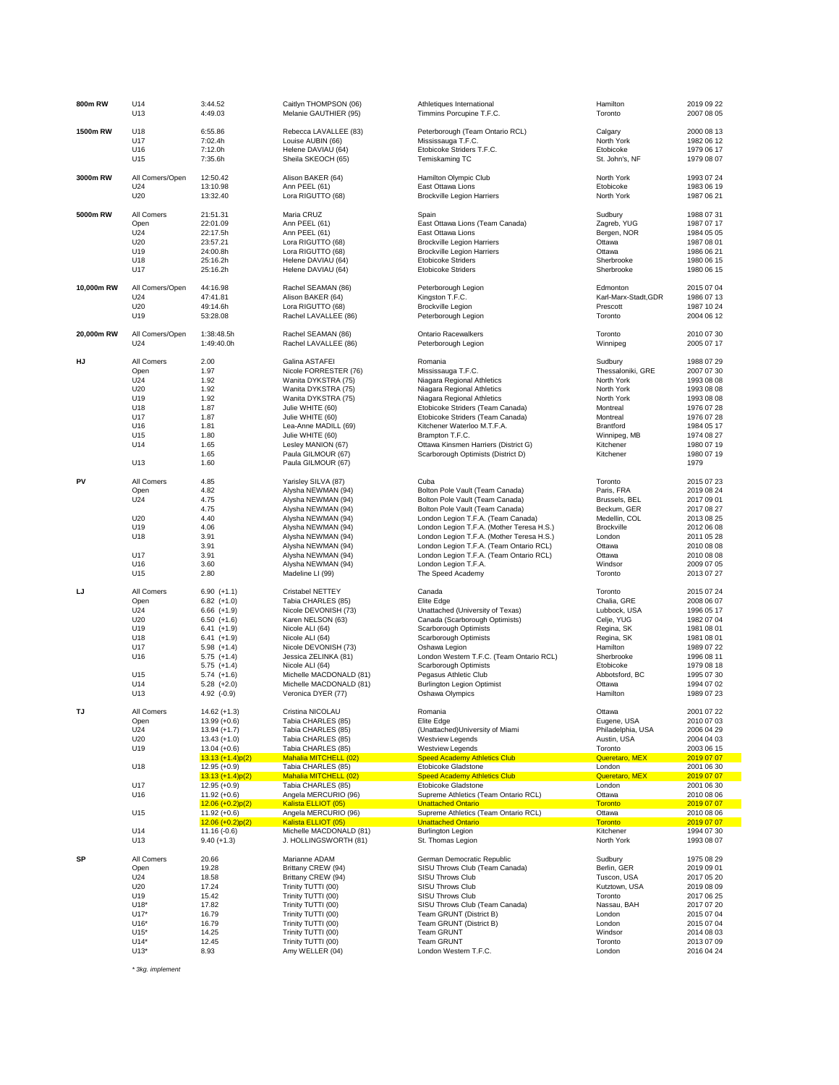| 800m RW    | U14                                                                                           | 3:44.52                                                                                                                                                                                                                        | Caitlyn THOMPSON (06)                                                                                                                                                                                                                                                         | Athletiques International                                                                                                                                                                                                                                                                                                                                                        | Hamilton                                                                                                                                                           | 2019 09 22                                                                                                                                                           |
|------------|-----------------------------------------------------------------------------------------------|--------------------------------------------------------------------------------------------------------------------------------------------------------------------------------------------------------------------------------|-------------------------------------------------------------------------------------------------------------------------------------------------------------------------------------------------------------------------------------------------------------------------------|----------------------------------------------------------------------------------------------------------------------------------------------------------------------------------------------------------------------------------------------------------------------------------------------------------------------------------------------------------------------------------|--------------------------------------------------------------------------------------------------------------------------------------------------------------------|----------------------------------------------------------------------------------------------------------------------------------------------------------------------|
|            | U13                                                                                           | 4:49.03                                                                                                                                                                                                                        | Melanie GAUTHIER (95)                                                                                                                                                                                                                                                         | Timmins Porcupine T.F.C.                                                                                                                                                                                                                                                                                                                                                         | Toronto                                                                                                                                                            | 2007 08 05                                                                                                                                                           |
| 1500m RW   | U18                                                                                           | 6:55.86                                                                                                                                                                                                                        | Rebecca LAVALLEE (83)                                                                                                                                                                                                                                                         | Peterborough (Team Ontario RCL)                                                                                                                                                                                                                                                                                                                                                  | Calgary                                                                                                                                                            | 2000 08 13                                                                                                                                                           |
|            | U17                                                                                           | 7:02.4h                                                                                                                                                                                                                        | Louise AUBIN (66)                                                                                                                                                                                                                                                             | Mississauga T.F.C.                                                                                                                                                                                                                                                                                                                                                               | North York                                                                                                                                                         | 1982 06 12                                                                                                                                                           |
|            | U16                                                                                           | 7:12.0h                                                                                                                                                                                                                        | Helene DAVIAU (64)                                                                                                                                                                                                                                                            | Etobicoke Striders T.F.C.                                                                                                                                                                                                                                                                                                                                                        | Etobicoke                                                                                                                                                          | 1979 06 17                                                                                                                                                           |
|            | U15                                                                                           | 7:35.6h                                                                                                                                                                                                                        | Sheila SKEOCH (65)                                                                                                                                                                                                                                                            | Temiskaming TC                                                                                                                                                                                                                                                                                                                                                                   | St. John's, NF                                                                                                                                                     | 1979 08 07                                                                                                                                                           |
| 3000m RW   | All Comers/Open                                                                               | 12:50.42                                                                                                                                                                                                                       | Alison BAKER (64)                                                                                                                                                                                                                                                             | Hamilton Olympic Club                                                                                                                                                                                                                                                                                                                                                            | North York                                                                                                                                                         | 1993 07 24                                                                                                                                                           |
|            | U24                                                                                           | 13:10.98                                                                                                                                                                                                                       | Ann PEEL (61)                                                                                                                                                                                                                                                                 | East Ottawa Lions                                                                                                                                                                                                                                                                                                                                                                | Etobicoke                                                                                                                                                          | 1983 06 19                                                                                                                                                           |
|            | U20                                                                                           | 13:32.40                                                                                                                                                                                                                       | Lora RIGUTTO (68)                                                                                                                                                                                                                                                             | <b>Brockville Legion Harriers</b>                                                                                                                                                                                                                                                                                                                                                | North York                                                                                                                                                         | 1987 06 21                                                                                                                                                           |
| 5000m RW   | All Comers                                                                                    | 21:51.31                                                                                                                                                                                                                       | Maria CRUZ                                                                                                                                                                                                                                                                    | Spain                                                                                                                                                                                                                                                                                                                                                                            | Sudbury                                                                                                                                                            | 1988 07 31                                                                                                                                                           |
|            | Open                                                                                          | 22:01.09                                                                                                                                                                                                                       | Ann PEEL (61)                                                                                                                                                                                                                                                                 | East Ottawa Lions (Team Canada)                                                                                                                                                                                                                                                                                                                                                  | Zagreb, YUG                                                                                                                                                        | 1987 07 17                                                                                                                                                           |
|            | U24                                                                                           | 22:17.5h                                                                                                                                                                                                                       | Ann PEEL (61)                                                                                                                                                                                                                                                                 | East Ottawa Lions                                                                                                                                                                                                                                                                                                                                                                | Bergen, NOR                                                                                                                                                        | 1984 05 05                                                                                                                                                           |
|            | U20                                                                                           | 23:57.21                                                                                                                                                                                                                       | Lora RIGUTTO (68)                                                                                                                                                                                                                                                             | <b>Brockville Legion Harriers</b>                                                                                                                                                                                                                                                                                                                                                | Ottawa                                                                                                                                                             | 1987 08 01                                                                                                                                                           |
|            | U19                                                                                           | 24:00.8h                                                                                                                                                                                                                       | Lora RIGUTTO (68)                                                                                                                                                                                                                                                             | <b>Brockville Legion Harriers</b>                                                                                                                                                                                                                                                                                                                                                | Ottawa                                                                                                                                                             | 1986 06 21                                                                                                                                                           |
|            | U18                                                                                           | 25:16.2h                                                                                                                                                                                                                       | Helene DAVIAU (64)                                                                                                                                                                                                                                                            | <b>Etobicoke Striders</b>                                                                                                                                                                                                                                                                                                                                                        | Sherbrooke                                                                                                                                                         | 1980 06 15                                                                                                                                                           |
|            | U17                                                                                           | 25:16.2h                                                                                                                                                                                                                       | Helene DAVIAU (64)                                                                                                                                                                                                                                                            | <b>Etobicoke Striders</b>                                                                                                                                                                                                                                                                                                                                                        | Sherbrooke                                                                                                                                                         | 1980 06 15                                                                                                                                                           |
| 10.000m RW | All Comers/Open                                                                               | 44:16.98                                                                                                                                                                                                                       | Rachel SEAMAN (86)                                                                                                                                                                                                                                                            | Peterborough Legion                                                                                                                                                                                                                                                                                                                                                              | Edmonton                                                                                                                                                           | 2015 07 04                                                                                                                                                           |
|            | U24                                                                                           | 47:41.81                                                                                                                                                                                                                       | Alison BAKER (64)                                                                                                                                                                                                                                                             | Kingston T.F.C.                                                                                                                                                                                                                                                                                                                                                                  | Karl-Marx-Stadt, GDR                                                                                                                                               | 1986 07 13                                                                                                                                                           |
|            | U20                                                                                           | 49:14.6h                                                                                                                                                                                                                       | Lora RIGUTTO (68)                                                                                                                                                                                                                                                             | <b>Brockville Legion</b>                                                                                                                                                                                                                                                                                                                                                         | Prescott                                                                                                                                                           | 1987 10 24                                                                                                                                                           |
|            | U19                                                                                           | 53:28.08                                                                                                                                                                                                                       | Rachel LAVALLEE (86)                                                                                                                                                                                                                                                          | Peterborough Legion                                                                                                                                                                                                                                                                                                                                                              | Toronto                                                                                                                                                            | 2004 06 12                                                                                                                                                           |
| 20,000m RW | All Comers/Open                                                                               | 1:38:48.5h                                                                                                                                                                                                                     | Rachel SEAMAN (86)                                                                                                                                                                                                                                                            | <b>Ontario Racewalkers</b>                                                                                                                                                                                                                                                                                                                                                       | Toronto                                                                                                                                                            | 2010 07 30                                                                                                                                                           |
|            | U24                                                                                           | 1:49:40.0h                                                                                                                                                                                                                     | Rachel LAVALLEE (86)                                                                                                                                                                                                                                                          | Peterborough Legion                                                                                                                                                                                                                                                                                                                                                              | Winnipeg                                                                                                                                                           | 2005 07 17                                                                                                                                                           |
| ΗJ         | All Comers<br>Open<br>U24<br>U20<br>U19<br>U18<br>U17<br>U16<br>U15<br>U14<br>U13             | 2.00<br>1.97<br>1.92<br>1.92<br>1.92<br>1.87<br>1.87<br>1.81<br>1.80<br>1.65<br>1.65<br>1.60                                                                                                                                   | Galina ASTAFEI<br>Nicole FORRESTER (76)<br>Wanita DYKSTRA (75)<br>Wanita DYKSTRA (75)<br>Wanita DYKSTRA (75)<br>Julie WHITE (60)<br>Julie WHITE (60)<br>Lea-Anne MADILL (69)<br>Julie WHITE (60)<br>Lesley MANION (67)<br>Paula GILMOUR (67)<br>Paula GILMOUR (67)            | Romania<br>Mississauga T.F.C.<br>Niagara Regional Athletics<br>Niagara Regional Athletics<br>Niagara Regional Athletics<br>Etobicoke Striders (Team Canada)<br>Etobicoke Striders (Team Canada)<br>Kitchener Waterloo M.T.F.A.<br>Brampton T.F.C.<br>Ottawa Kinsmen Harriers (District G)<br>Scarborough Optimists (District D)                                                  | Sudbury<br>Thessaloniki, GRE<br>North York<br>North York<br>North York<br>Montreal<br>Montreal<br>Brantford<br>Winnipeg, MB<br>Kitchener<br>Kitchener              | 1988 07 29<br>2007 07 30<br>1993 08 08<br>1993 08 08<br>1993 08 08<br>1976 07 28<br>1976 07 28<br>1984 05 17<br>1974 08 27<br>1980 07 19<br>1980 07 19<br>1979       |
| PV         | All Comers<br>Open<br>U <sub>24</sub><br>U20<br>U19<br>U18<br>U17<br>U16<br>U15               | 4.85<br>4.82<br>4.75<br>4.75<br>4.40<br>4.06<br>3.91<br>3.91<br>3.91<br>3.60<br>2.80                                                                                                                                           | Yarisley SILVA (87)<br>Alysha NEWMAN (94)<br>Alysha NEWMAN (94)<br>Alysha NEWMAN (94)<br>Alysha NEWMAN (94)<br>Alysha NEWMAN (94)<br>Alysha NEWMAN (94)<br>Alysha NEWMAN (94)<br>Alysha NEWMAN (94)<br>Alysha NEWMAN (94)<br>Madeline LI (99)                                 | Cuba<br>Bolton Pole Vault (Team Canada)<br>Bolton Pole Vault (Team Canada)<br>Bolton Pole Vault (Team Canada)<br>London Legion T.F.A. (Team Canada)<br>London Legion T.F.A. (Mother Teresa H.S.)<br>London Legion T.F.A. (Mother Teresa H.S.)<br>London Legion T.F.A. (Team Ontario RCL)<br>London Legion T.F.A. (Team Ontario RCL)<br>London Legion T.F.A.<br>The Speed Academy | Toronto<br>Paris, FRA<br>Brussels, BEL<br>Beckum, GER<br>Medellin, COL<br>Brockville<br>London<br>Ottawa<br>Ottawa<br>Windsor<br>Toronto                           | 2015 07 23<br>2019 08 24<br>2017 09 01<br>2017 08 27<br>2013 08 25<br>2012 06 08<br>2011 05 28<br>2010 08 08<br>2010 08 08<br>2009 07 05<br>2013 07 27               |
| IJ         | All Comers<br>Open<br>U24<br>U20<br>U19<br>U18<br>U17<br>U16<br>U15<br>U14<br>U <sub>13</sub> | $6.90 (+1.1)$<br>$6.82$ $(+1.0)$<br>$6.66 (+1.9)$<br>$6.50(+1.6)$<br>$6.41 (+1.9)$<br>$6.41 (+1.9)$<br>$5.98 (+1.4)$<br>$5.75 (+1.4)$<br>$5.75 (+1.4)$<br>$5.74(+1.6)$<br>$5.28 (+2.0)$<br>4.92 (-0.9)                         | Cristabel NETTEY<br>Tabia CHARLES (85)<br>Nicole DEVONISH (73)<br>Karen NELSON (63)<br>Nicole ALI (64)<br>Nicole ALI (64)<br>Nicole DEVONISH (73)<br>Jessica ZELINKA (81)<br>Nicole ALI (64)<br>Michelle MACDONALD (81)<br>Michelle MACDONALD (81)<br>Veronica DYER (77)      | Canada<br>Elite Edge<br>Unattached (University of Texas)<br>Canada (Scarborough Optimists)<br>Scarborough Optimists<br>Scarborough Optimists<br>Oshawa Legion<br>London Western T.F.C. (Team Ontario RCL)<br>Scarborough Optimists<br>Pegasus Athletic Club<br><b>Burlington Legion Optimist</b><br>Oshawa Olympics                                                              | Toronto<br>Chalia, GRE<br>Lubbock, USA<br>Celje, YUG<br>Regina, SK<br>Regina, SK<br>Hamilton<br>Sherbrooke<br>Etobicoke<br>Abbotsford, BC<br>Ottawa<br>Hamilton    | 2015 07 24<br>2008 06 07<br>1996 05 17<br>1982 07 04<br>1981 08 01<br>1981 08 01<br>1989 07 22<br>1996 08 11<br>1979 08 18<br>1995 07 30<br>1994 07 02<br>1989 07 23 |
| TJ         | All Comers<br>Open<br>U24<br>U20<br>U19<br>U18<br>U17<br>U16<br>U15                           | $14.62 (+1.3)$<br>13.99 (+0.6)<br>$13.94 (+1.7)$<br>$13.43 (+1.0)$<br>$13.04 (+0.6)$<br>$13.13 (+1.4)p(2)$<br>$12.95 (+0.9)$<br>$13.13 (+1.4)p(2)$<br>$12.95 (+0.9)$<br>$11.92 (+0.6)$<br>$12.06 (+0.2)p(2)$<br>$11.92 (+0.6)$ | Cristina NICOLAU<br>Tabia CHARLES (85)<br>Tabia CHARLES (85)<br>Tabia CHARLES (85)<br>Tabia CHARLES (85)<br>Mahalia MITCHELL (02)<br>Tabia CHARLES (85)<br>Mahalia MITCHELL (02)<br>Tabia CHARLES (85)<br>Angela MERCURIO (96)<br>Kalista ELLIOT (05)<br>Angela MERCURIO (96) | Romania<br>Elite Edge<br>(Unattached) University of Miami<br><b>Westview Legends</b><br><b>Westview Legends</b><br><b>Speed Academy Athletics Club</b><br>Etobicoke Gladstone<br><b>Speed Academy Athletics Club</b><br><b>Etobicoke Gladstone</b><br>Supreme Athletics (Team Ontario RCL)<br><b>Unattached Ontario</b><br>Supreme Athletics (Team Ontario RCL)                  | Ottawa<br>Eugene, USA<br>Philadelphia, USA<br>Austin, USA<br>Toronto<br>Queretaro, MEX<br>London<br>Queretaro, MEX<br>London<br>Ottawa<br><b>Toronto</b><br>Ottawa | 2001 07 22<br>2010 07 03<br>2006 04 29<br>2004 04 03<br>2003 06 15<br>2019 07 07<br>2001 06 30<br>2019 07 07<br>2001 06 30<br>2010 08 06<br>2019 07 07<br>2010 08 06 |
|            | U14<br>U13                                                                                    | $12.06 (+0.2)p(2)$<br>$11.16(-0.6)$<br>$9.40 (+1.3)$                                                                                                                                                                           | Kalista ELLIOT (05)<br>Michelle MACDONALD (81)<br>J. HOLLINGSWORTH (81)                                                                                                                                                                                                       | <b>Unattached Ontario</b><br><b>Burlington Legion</b><br>St. Thomas Legion                                                                                                                                                                                                                                                                                                       | <b>Toronto</b><br>Kitchener<br>North York                                                                                                                          | 2019 07 07<br>1994 07 30<br>1993 08 07                                                                                                                               |
| SP         | All Comers                                                                                    | 20.66                                                                                                                                                                                                                          | Marianne ADAM                                                                                                                                                                                                                                                                 | German Democratic Republic                                                                                                                                                                                                                                                                                                                                                       | Sudbury                                                                                                                                                            | 1975 08 29                                                                                                                                                           |
|            | Open                                                                                          | 19.28                                                                                                                                                                                                                          | Brittany CREW (94)                                                                                                                                                                                                                                                            | SISU Throws Club (Team Canada)                                                                                                                                                                                                                                                                                                                                                   | Berlin, GER                                                                                                                                                        | 2019 09 01                                                                                                                                                           |
|            | U24                                                                                           | 18.58                                                                                                                                                                                                                          | Brittany CREW (94)                                                                                                                                                                                                                                                            | SISU Throws Club                                                                                                                                                                                                                                                                                                                                                                 | Tuscon, USA                                                                                                                                                        | 2017 05 20                                                                                                                                                           |
|            | U20                                                                                           | 17.24                                                                                                                                                                                                                          | Trinity TUTTI (00)                                                                                                                                                                                                                                                            | SISU Throws Club                                                                                                                                                                                                                                                                                                                                                                 | Kutztown, USA                                                                                                                                                      | 2019 08 09                                                                                                                                                           |
|            | U19                                                                                           | 15.42                                                                                                                                                                                                                          | Trinity TUTTI (00)                                                                                                                                                                                                                                                            | SISU Throws Club                                                                                                                                                                                                                                                                                                                                                                 | Toronto                                                                                                                                                            | 2017 06 25                                                                                                                                                           |
|            | $U18*$                                                                                        | 17.82                                                                                                                                                                                                                          | Trinity TUTTI (00)                                                                                                                                                                                                                                                            | SISU Throws Club (Team Canada)                                                                                                                                                                                                                                                                                                                                                   | Nassau, BAH                                                                                                                                                        | 2017 07 20                                                                                                                                                           |
|            | $U17*$                                                                                        | 16.79                                                                                                                                                                                                                          | Trinity TUTTI (00)                                                                                                                                                                                                                                                            | Team GRUNT (District B)                                                                                                                                                                                                                                                                                                                                                          | London                                                                                                                                                             | 2015 07 04                                                                                                                                                           |
|            | $U16*$                                                                                        | 16.79                                                                                                                                                                                                                          | Trinity TUTTI (00)                                                                                                                                                                                                                                                            | Team GRUNT (District B)                                                                                                                                                                                                                                                                                                                                                          | London                                                                                                                                                             | 2015 07 04                                                                                                                                                           |
|            | $U15*$                                                                                        | 14.25                                                                                                                                                                                                                          | Trinity TUTTI (00)                                                                                                                                                                                                                                                            | Team GRUNT                                                                                                                                                                                                                                                                                                                                                                       | Windsor                                                                                                                                                            | 2014 08 03                                                                                                                                                           |
|            | $U14*$                                                                                        | 12.45                                                                                                                                                                                                                          | Trinity TUTTI (00)                                                                                                                                                                                                                                                            | <b>Team GRUNT</b>                                                                                                                                                                                                                                                                                                                                                                | Toronto                                                                                                                                                            | 2013 07 09                                                                                                                                                           |
|            | $U13*$                                                                                        | 8.93                                                                                                                                                                                                                           | Amy WELLER (04)                                                                                                                                                                                                                                                               | London Western T.F.C.                                                                                                                                                                                                                                                                                                                                                            | London                                                                                                                                                             | 2016 04 24                                                                                                                                                           |

*\* 3kg. implement*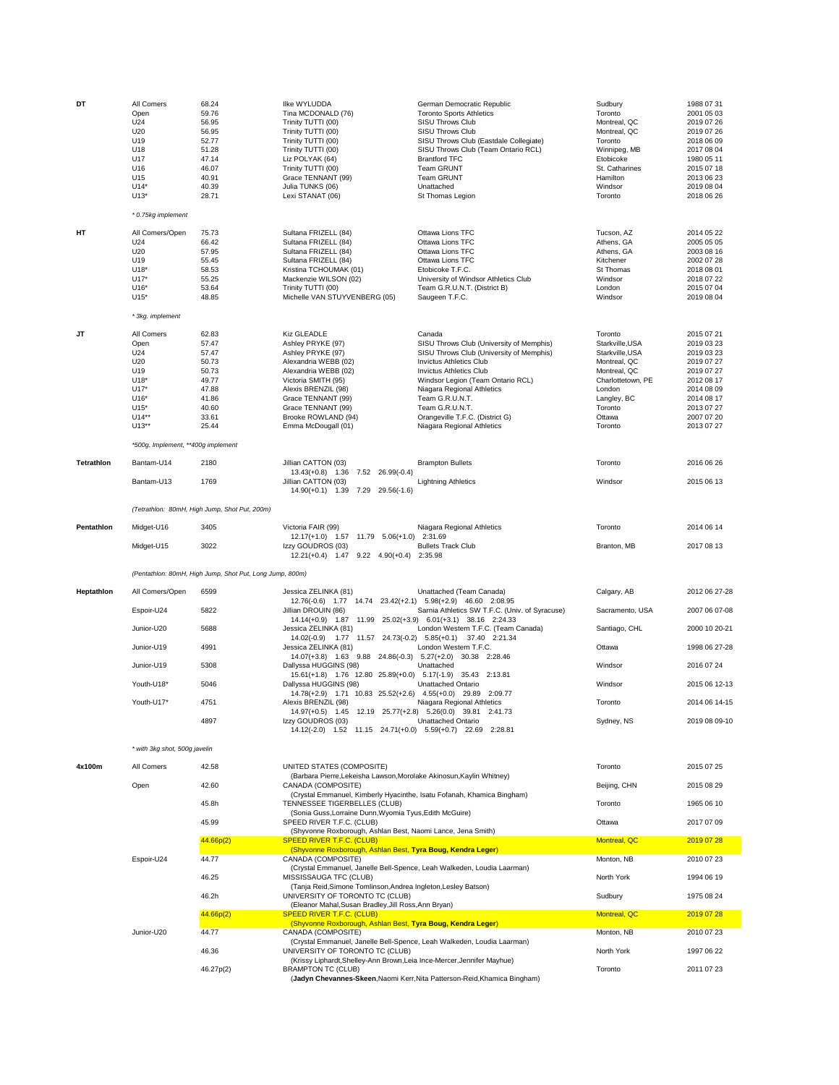| DT                | All Comers<br>Open<br>U24<br>U20<br>U19<br>U18<br>U17<br>U16<br>U15<br>$U14*$<br>$U13*$             | 68.24<br>59.76<br>56.95<br>56.95<br>52.77<br>51.28<br>47.14<br>46.07<br>40.91<br>40.39<br>28.71 | Ilke WYLUDDA<br>Tina MCDONALD (76)<br>Trinity TUTTI (00)<br>Trinity TUTTI (00)<br>Trinity TUTTI (00)<br>Trinity TUTTI (00)<br>Liz POLYAK (64)<br>Trinity TUTTI (00)<br>Grace TENNANT (99)<br>Julia TUNKS (06)<br>Lexi STANAT (06)             | German Democratic Republic<br><b>Toronto Sports Athletics</b><br><b>SISU Throws Club</b><br>SISU Throws Club<br>SISU Throws Club (Eastdale Collegiate)<br>SISU Throws Club (Team Ontario RCL)<br><b>Brantford TFC</b><br><b>Team GRUNT</b><br><b>Team GRUNT</b><br>Unattached<br>St Thomas Legion                                            | Sudbury<br>Toronto<br>Montreal, QC<br>Montreal, QC<br>Toronto<br>Winnipeg, MB<br>Etobicoke<br>St. Catharines<br>Hamilton<br>Windsor<br>Toronto              | 1988 07 31<br>2001 05 03<br>2019 07 26<br>2019 07 26<br>2018 06 09<br>2017 08 04<br>1980 05 11<br>2015 07 18<br>2013 06 23<br>2019 08 04<br>2018 06 26 |
|-------------------|-----------------------------------------------------------------------------------------------------|-------------------------------------------------------------------------------------------------|-----------------------------------------------------------------------------------------------------------------------------------------------------------------------------------------------------------------------------------------------|----------------------------------------------------------------------------------------------------------------------------------------------------------------------------------------------------------------------------------------------------------------------------------------------------------------------------------------------|-------------------------------------------------------------------------------------------------------------------------------------------------------------|--------------------------------------------------------------------------------------------------------------------------------------------------------|
|                   | * 0.75kg implement                                                                                  |                                                                                                 |                                                                                                                                                                                                                                               |                                                                                                                                                                                                                                                                                                                                              |                                                                                                                                                             |                                                                                                                                                        |
| HТ                | All Comers/Open<br>U24<br>U20<br>U19<br>$U18*$<br>$U17*$<br>$U16*$<br>$U15*$                        | 75.73<br>66.42<br>57.95<br>55.45<br>58.53<br>55.25<br>53.64<br>48.85                            | Sultana FRIZELL (84)<br>Sultana FRIZELL (84)<br>Sultana FRIZELL (84)<br>Sultana FRIZELL (84)<br>Kristina TCHOUMAK (01)<br>Mackenzie WILSON (02)<br>Trinity TUTTI (00)<br>Michelle VAN STUYVENBERG (05)                                        | Ottawa Lions TFC<br>Ottawa Lions TFC<br>Ottawa Lions TFC<br>Ottawa Lions TFC<br>Etobicoke T.F.C.<br>University of Windsor Athletics Club<br>Team G.R.U.N.T. (District B)<br>Saugeen T.F.C.                                                                                                                                                   | Tucson, AZ<br>Athens, GA<br>Athens, GA<br>Kitchener<br>St Thomas<br>Windsor<br>London<br>Windsor                                                            | 2014 05 22<br>2005 05 05<br>2003 08 16<br>2002 07 28<br>2018 08 01<br>2018 07 22<br>2015 07 04<br>2019 08 04                                           |
|                   | * 3kg. implement                                                                                    |                                                                                                 |                                                                                                                                                                                                                                               |                                                                                                                                                                                                                                                                                                                                              |                                                                                                                                                             |                                                                                                                                                        |
| JT                | All Comers<br>Open<br>U24<br>U20<br>U19<br>U18*<br>$U17*$<br>$U16*$<br>$U15*$<br>$U14**$<br>$U13**$ | 62.83<br>57.47<br>57.47<br>50.73<br>50.73<br>49.77<br>47.88<br>41.86<br>40.60<br>33.61<br>25.44 | Kiz GLEADLE<br>Ashley PRYKE (97)<br>Ashley PRYKE (97)<br>Alexandria WEBB (02)<br>Alexandria WEBB (02)<br>Victoria SMITH (95)<br>Alexis BRENZIL (98)<br>Grace TENNANT (99)<br>Grace TENNANT (99)<br>Brooke ROWLAND (94)<br>Emma McDougall (01) | Canada<br>SISU Throws Club (University of Memphis)<br>SISU Throws Club (University of Memphis)<br><b>Invictus Athletics Club</b><br><b>Invictus Athletics Club</b><br>Windsor Legion (Team Ontario RCL)<br>Niagara Regional Athletics<br>Team G.R.U.N.T.<br>Team G.R.U.N.T.<br>Orangeville T.F.C. (District G)<br>Niagara Regional Athletics | Toronto<br>Starkville, USA<br>Starkville, USA<br>Montreal, QC<br>Montreal, QC<br>Charlottetown, PE<br>London<br>Langley, BC<br>Toronto<br>Ottawa<br>Toronto | 2015 07 21<br>2019 03 23<br>2019 03 23<br>2019 07 27<br>2019 07 27<br>2012 08 17<br>2014 08 09<br>2014 08 17<br>2013 07 27<br>2007 07 20<br>2013 07 27 |
|                   | *500g. Implement, **400g implement                                                                  |                                                                                                 |                                                                                                                                                                                                                                               |                                                                                                                                                                                                                                                                                                                                              |                                                                                                                                                             |                                                                                                                                                        |
| <b>Tetrathlon</b> | Bantam-U14                                                                                          | 2180                                                                                            | Jillian CATTON (03)<br>$13.43(+0.8)$ 1.36<br>7.52 26.99(-0.4)                                                                                                                                                                                 | <b>Brampton Bullets</b>                                                                                                                                                                                                                                                                                                                      | Toronto                                                                                                                                                     | 2016 06 26                                                                                                                                             |
|                   | Bantam-U13                                                                                          | 1769                                                                                            | Jillian CATTON (03)<br>14.90(+0.1) 1.39 7.29 29.56(-1.6)                                                                                                                                                                                      | <b>Lightning Athletics</b>                                                                                                                                                                                                                                                                                                                   | Windsor                                                                                                                                                     | 2015 06 13                                                                                                                                             |
|                   |                                                                                                     | (Tetrathlon: 80mH, High Jump, Shot Put, 200m)                                                   |                                                                                                                                                                                                                                               |                                                                                                                                                                                                                                                                                                                                              |                                                                                                                                                             |                                                                                                                                                        |
| Pentathlon        | Midget-U16                                                                                          | 3405                                                                                            | Victoria FAIR (99)<br>12.17(+1.0) 1.57 11.79 5.06(+1.0) 2:31.69                                                                                                                                                                               | Niagara Regional Athletics                                                                                                                                                                                                                                                                                                                   | Toronto                                                                                                                                                     | 2014 06 14                                                                                                                                             |
|                   | Midget-U15                                                                                          | 3022                                                                                            | Izzy GOUDROS (03)<br>$12.21(+0.4)$ $1.47$ $9.22$ $4.90(+0.4)$                                                                                                                                                                                 | <b>Bullets Track Club</b><br>2:35.98                                                                                                                                                                                                                                                                                                         | Branton, MB                                                                                                                                                 | 2017 08 13                                                                                                                                             |
|                   |                                                                                                     | (Pentathlon: 80mH, High Jump, Shot Put, Long Jump, 800m)                                        |                                                                                                                                                                                                                                               |                                                                                                                                                                                                                                                                                                                                              |                                                                                                                                                             |                                                                                                                                                        |
| Heptathlon        | All Comers/Open                                                                                     | 6599                                                                                            | Jessica ZELINKA (81)                                                                                                                                                                                                                          | Unattached (Team Canada)                                                                                                                                                                                                                                                                                                                     | Calgary, AB                                                                                                                                                 | 2012 06 27-28                                                                                                                                          |
|                   | Espoir-U24                                                                                          | 5822                                                                                            | 12.76(-0.6) 1.77 14.74 23.42(+2.1) 5.98(+2.9) 46.60 2:08.95<br>Jillian DROUIN (86)                                                                                                                                                            | Sarnia Athletics SW T.F.C. (Univ. of Syracuse)                                                                                                                                                                                                                                                                                               | Sacramento, USA                                                                                                                                             | 2007 06 07-08                                                                                                                                          |
|                   | Junior-U20                                                                                          | 5688                                                                                            | 14.14(+0.9) 1.87 11.99 25.02(+3.9) 6.01(+3.1) 38.16 2:24.33<br>Jessica ZELINKA (81)                                                                                                                                                           | London Western T.F.C. (Team Canada)                                                                                                                                                                                                                                                                                                          | Santiago, CHL                                                                                                                                               | 2000 10 20-21                                                                                                                                          |
|                   | Junior-U19                                                                                          | 4991                                                                                            | 14.02(-0.9) 1.77 11.57 24.73(-0.2) 5.85(+0.1) 37.40 2:21.34<br>Jessica ZELINKA (81)                                                                                                                                                           | London Western T.F.C.                                                                                                                                                                                                                                                                                                                        | Ottawa                                                                                                                                                      | 1998 06 27-28                                                                                                                                          |
|                   | Junior-U19                                                                                          | 5308                                                                                            | 14.07(+3.8) 1.63 9.88 24.86(-0.3) 5.27(+2.0) 30.38 2:28.46<br>Dallyssa HUGGINS (98)                                                                                                                                                           | Unattached                                                                                                                                                                                                                                                                                                                                   | Windsor                                                                                                                                                     | 2016 07 24                                                                                                                                             |
|                   | Youth-U18*                                                                                          | 5046                                                                                            | 15.61(+1.8) 1.76 12.80 25.89(+0.0) 5.17(-1.9) 35.43 2:13.81<br>Dallyssa HUGGINS (98)                                                                                                                                                          | Unattached Ontario                                                                                                                                                                                                                                                                                                                           | Windsor                                                                                                                                                     | 2015 06 12-13                                                                                                                                          |
|                   | Youth-U17*                                                                                          | 4751                                                                                            | 14.78(+2.9) 1.71 10.83 25.52(+2.6) 4.55(+0.0) 29.89 2:09.77<br>Alexis BRENZIL (98)                                                                                                                                                            |                                                                                                                                                                                                                                                                                                                                              | Toronto                                                                                                                                                     | 2014 06 14-15                                                                                                                                          |
|                   |                                                                                                     | 4897                                                                                            | 14.97(+0.5) 1.45 12.19 25.77(+2.8) 5.26(0.0) 39.81 2:41.73<br>Izzy GOUDROS (03)<br>14.12(-2.0) 1.52 11.15 24.71(+0.0) 5.59(+0.7) 22.69 2:28.81                                                                                                | Niagara Regional Athletics<br>Unattached Ontario                                                                                                                                                                                                                                                                                             | Sydney, NS                                                                                                                                                  | 2019 08 09-10                                                                                                                                          |
|                   | * with 3kg shot, 500g javelin                                                                       |                                                                                                 |                                                                                                                                                                                                                                               |                                                                                                                                                                                                                                                                                                                                              |                                                                                                                                                             |                                                                                                                                                        |
| 4x100m            | All Comers                                                                                          | 42.58                                                                                           | UNITED STATES (COMPOSITE)                                                                                                                                                                                                                     |                                                                                                                                                                                                                                                                                                                                              | Toronto                                                                                                                                                     | 2015 07 25                                                                                                                                             |
|                   | Open                                                                                                | 42.60                                                                                           | (Barbara Pierre, Lekeisha Lawson, Morolake Akinosun, Kaylin Whitney)<br>CANADA (COMPOSITE)                                                                                                                                                    |                                                                                                                                                                                                                                                                                                                                              | Beijing, CHN                                                                                                                                                | 2015 08 29                                                                                                                                             |
|                   |                                                                                                     | 45.8h                                                                                           | (Crystal Emmanuel, Kimberly Hyacinthe, Isatu Fofanah, Khamica Bingham)<br>TENNESSEE TIGERBELLES (CLUB)                                                                                                                                        |                                                                                                                                                                                                                                                                                                                                              | Toronto                                                                                                                                                     | 1965 06 10                                                                                                                                             |
|                   |                                                                                                     | 45.99                                                                                           | (Sonia Guss, Lorraine Dunn, Wyomia Tyus, Edith McGuire)<br>SPEED RIVER T.F.C. (CLUB)                                                                                                                                                          |                                                                                                                                                                                                                                                                                                                                              | Ottawa                                                                                                                                                      | 2017 07 09                                                                                                                                             |
|                   |                                                                                                     | 44.66p(2)                                                                                       | (Shyvonne Roxborough, Ashlan Best, Naomi Lance, Jena Smith)<br><b>SPEED RIVER T.F.C. (CLUB)</b>                                                                                                                                               |                                                                                                                                                                                                                                                                                                                                              | Montreal, QC                                                                                                                                                | 2019 07 28                                                                                                                                             |
|                   |                                                                                                     |                                                                                                 | (Shyvonne Roxborough, Ashlan Best, Tyra Boug, Kendra Leger)                                                                                                                                                                                   |                                                                                                                                                                                                                                                                                                                                              | Monton, NB                                                                                                                                                  |                                                                                                                                                        |
|                   | Espoir-U24                                                                                          | 44.77                                                                                           | CANADA (COMPOSITE)<br>(Crystal Emmanuel, Janelle Bell-Spence, Leah Walkeden, Loudia Laarman)                                                                                                                                                  |                                                                                                                                                                                                                                                                                                                                              |                                                                                                                                                             | 2010 07 23                                                                                                                                             |
|                   |                                                                                                     | 46.25                                                                                           | MISSISSAUGA TFC (CLUB)<br>(Tanja Reid, Simone Tomlinson, Andrea Ingleton, Lesley Batson)                                                                                                                                                      |                                                                                                                                                                                                                                                                                                                                              | North York                                                                                                                                                  | 1994 06 19                                                                                                                                             |
|                   |                                                                                                     | 46.2h                                                                                           | UNIVERSITY OF TORONTO TC (CLUB)<br>(Eleanor Mahal, Susan Bradley, Jill Ross, Ann Bryan)                                                                                                                                                       |                                                                                                                                                                                                                                                                                                                                              | Sudbury                                                                                                                                                     | 1975 08 24                                                                                                                                             |
|                   |                                                                                                     | 44.66p(2)                                                                                       | <b>SPEED RIVER T.F.C. (CLUB)</b><br>(Shyvonne Roxborough, Ashlan Best, Tyra Boug, Kendra Leger)                                                                                                                                               |                                                                                                                                                                                                                                                                                                                                              | Montreal, QC                                                                                                                                                | 2019 07 28                                                                                                                                             |
|                   | Junior-U20                                                                                          | 44.77                                                                                           | CANADA (COMPOSITE)<br>(Crystal Emmanuel, Janelle Bell-Spence, Leah Walkeden, Loudia Laarman)                                                                                                                                                  |                                                                                                                                                                                                                                                                                                                                              | Monton, NB                                                                                                                                                  | 2010 07 23                                                                                                                                             |
|                   |                                                                                                     | 46.36                                                                                           | UNIVERSITY OF TORONTO TC (CLUB)<br>(Krissy Liphardt, Shelley-Ann Brown, Leia Ince-Mercer, Jennifer Mayhue)                                                                                                                                    |                                                                                                                                                                                                                                                                                                                                              | North York                                                                                                                                                  | 1997 06 22                                                                                                                                             |
|                   |                                                                                                     | 46.27p(2)                                                                                       | <b>BRAMPTON TC (CLUB)</b>                                                                                                                                                                                                                     | (Jadyn Chevannes-Skeen, Naomi Kerr, Nita Patterson-Reid, Khamica Bingham)                                                                                                                                                                                                                                                                    | Toronto                                                                                                                                                     | 2011 07 23                                                                                                                                             |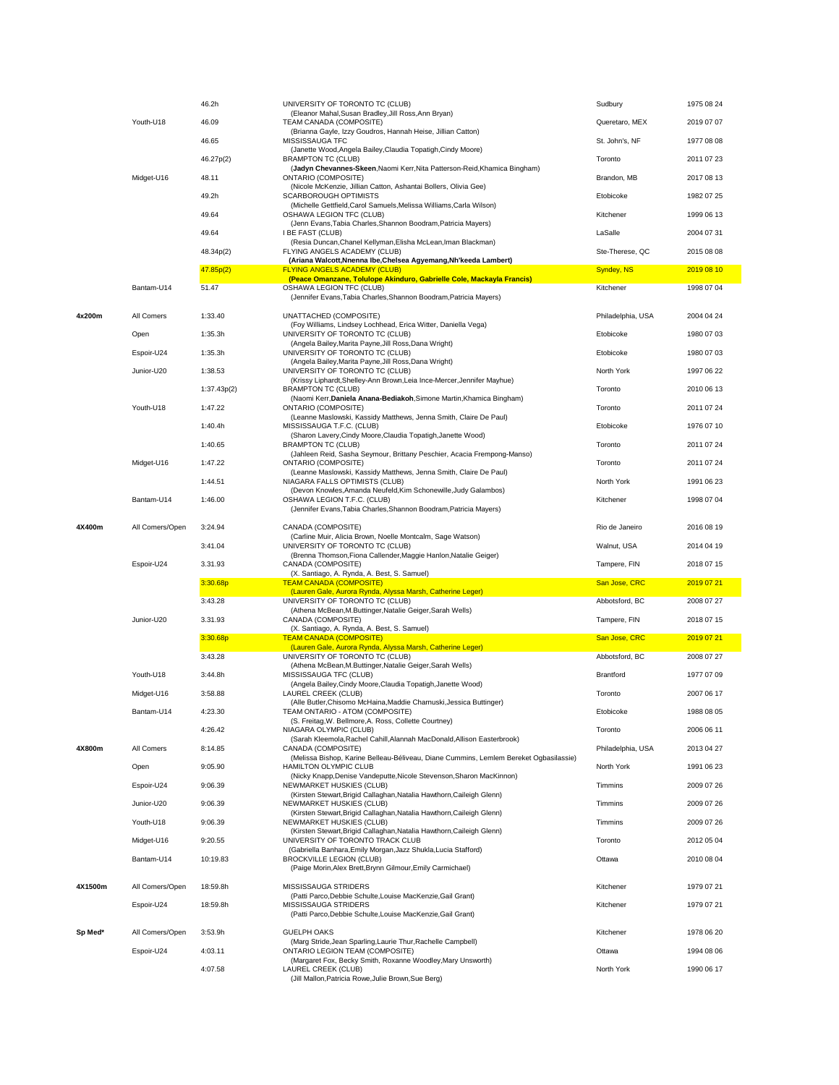|         |                 | 46.2h       | UNIVERSITY OF TORONTO TC (CLUB)                                                                             | Sudbury           | 1975 08 24 |
|---------|-----------------|-------------|-------------------------------------------------------------------------------------------------------------|-------------------|------------|
|         | Youth-U18       | 46.09       | (Eleanor Mahal, Susan Bradley, Jill Ross, Ann Bryan)<br>TEAM CANADA (COMPOSITE)                             | Queretaro, MEX    | 2019 07 07 |
|         |                 |             | (Brianna Gayle, Izzy Goudros, Hannah Heise, Jillian Catton)                                                 |                   |            |
|         |                 | 46.65       | MISSISSAUGA TFC<br>(Janette Wood, Angela Bailey, Claudia Topatigh, Cindy Moore)                             | St. John's, NF    | 1977 08 08 |
|         |                 | 46.27p(2)   | <b>BRAMPTON TC (CLUB)</b>                                                                                   | Toronto           | 2011 07 23 |
|         | Midget-U16      | 48.11       | (Jadyn Chevannes-Skeen, Naomi Kerr, Nita Patterson-Reid, Khamica Bingham)<br><b>ONTARIO (COMPOSITE)</b>     | Brandon, MB       | 2017 08 13 |
|         |                 |             | (Nicole McKenzie, Jillian Catton, Ashantai Bollers, Olivia Gee)                                             |                   |            |
|         |                 | 49.2h       | <b>SCARBOROUGH OPTIMISTS</b><br>(Michelle Gettfield, Carol Samuels, Melissa Williams, Carla Wilson)         | Etobicoke         | 1982 07 25 |
|         |                 | 49.64       | OSHAWA LEGION TFC (CLUB)                                                                                    | Kitchener         | 1999 06 13 |
|         |                 | 49.64       | (Jenn Evans, Tabia Charles, Shannon Boodram, Patricia Mayers)<br>I BE FAST (CLUB)                           | LaSalle           | 2004 07 31 |
|         |                 |             | (Resia Duncan, Chanel Kellyman, Elisha McLean, Iman Blackman)                                               |                   |            |
|         |                 | 48.34p(2)   | FLYING ANGELS ACADEMY (CLUB)<br>(Ariana Walcott, Nnenna Ibe, Chelsea Agyemang, Nh'keeda Lambert)            | Ste-Therese, QC   | 2015 08 08 |
|         |                 | 47.85p(2)   | <b>FLYING ANGELS ACADEMY (CLUB)</b>                                                                         | <b>Syndey, NS</b> | 2019 08 10 |
|         | Bantam-U14      | 51.47       | (Peace Omanzane, Tolulope Akinduro, Gabrielle Cole, Mackayla Francis)<br>OSHAWA LEGION TFC (CLUB)           | Kitchener         | 1998 07 04 |
|         |                 |             | (Jennifer Evans, Tabia Charles, Shannon Boodram, Patricia Mayers)                                           |                   |            |
| 4x200m  | All Comers      | 1:33.40     | UNATTACHED (COMPOSITE)                                                                                      | Philadelphia, USA | 2004 04 24 |
|         |                 |             | (Foy Williams, Lindsey Lochhead, Erica Witter, Daniella Vega)                                               |                   |            |
|         | Open            | 1:35.3h     | UNIVERSITY OF TORONTO TC (CLUB)<br>(Angela Bailey, Marita Payne, Jill Ross, Dana Wright)                    | Etobicoke         | 1980 07 03 |
|         | Espoir-U24      | 1:35.3h     | UNIVERSITY OF TORONTO TC (CLUB)                                                                             | Etobicoke         | 1980 07 03 |
|         | Junior-U20      | 1:38.53     | (Angela Bailey, Marita Payne, Jill Ross, Dana Wright)<br>UNIVERSITY OF TORONTO TC (CLUB)                    | North York        | 1997 06 22 |
|         |                 |             | (Krissy Liphardt, Shelley-Ann Brown, Leia Ince-Mercer, Jennifer Mayhue)                                     |                   |            |
|         |                 | 1:37.43p(2) | <b>BRAMPTON TC (CLUB)</b><br>(Naomi Kerr, Daniela Anana-Bediakoh, Simone Martin, Khamica Bingham)           | Toronto           | 2010 06 13 |
|         | Youth-U18       | 1:47.22     | <b>ONTARIO (COMPOSITE)</b>                                                                                  | Toronto           | 2011 07 24 |
|         |                 | 1:40.4h     | (Leanne Maslowski, Kassidy Matthews, Jenna Smith, Claire De Paul)<br>MISSISSAUGA T.F.C. (CLUB)              | Etobicoke         | 1976 07 10 |
|         |                 |             | (Sharon Lavery, Cindy Moore, Claudia Topatigh, Janette Wood)                                                |                   |            |
|         |                 | 1:40.65     | <b>BRAMPTON TC (CLUB)</b><br>(Jahleen Reid, Sasha Seymour, Brittany Peschier, Acacia Frempong-Manso)        | Toronto           | 2011 07 24 |
|         | Midget-U16      | 1:47.22     | <b>ONTARIO (COMPOSITE)</b>                                                                                  | Toronto           | 2011 07 24 |
|         |                 | 1:44.51     | (Leanne Maslowski, Kassidy Matthews, Jenna Smith, Claire De Paul)<br>NIAGARA FALLS OPTIMISTS (CLUB)         | North York        | 1991 06 23 |
|         |                 |             | (Devon Knowles, Amanda Neufeld, Kim Schonewille, Judy Galambos)                                             |                   |            |
|         | Bantam-U14      | 1:46.00     | OSHAWA LEGION T.F.C. (CLUB)<br>(Jennifer Evans, Tabia Charles, Shannon Boodram, Patricia Mayers)            | Kitchener         | 1998 07 04 |
|         |                 |             |                                                                                                             |                   |            |
| 4X400m  | All Comers/Open | 3:24.94     | CANADA (COMPOSITE)<br>(Carline Muir, Alicia Brown, Noelle Montcalm, Sage Watson)                            | Rio de Janeiro    | 2016 08 19 |
|         |                 | 3:41.04     | UNIVERSITY OF TORONTO TC (CLUB)                                                                             | Walnut, USA       | 2014 04 19 |
|         | Espoir-U24      | 3.31.93     | (Brenna Thomson, Fiona Callender, Maggie Hanlon, Natalie Geiger)<br>CANADA (COMPOSITE)                      | Tampere, FIN      | 2018 07 15 |
|         |                 |             | (X. Santiago, A. Rynda, A. Best, S. Samuel)                                                                 |                   |            |
|         |                 | 3:30.68p    | <b>TEAM CANADA (COMPOSITE)</b><br>(Lauren Gale, Aurora Rynda, Alyssa Marsh, Catherine Leger)                | San Jose, CRC     | 2019 07 21 |
|         |                 | 3:43.28     | UNIVERSITY OF TORONTO TC (CLUB)                                                                             | Abbotsford, BC    | 2008 07 27 |
|         | Junior-U20      | 3.31.93     | (Athena McBean, M.Buttinger, Natalie Geiger, Sarah Wells)<br>CANADA (COMPOSITE)                             | Tampere, FIN      | 2018 07 15 |
|         |                 |             | (X. Santiago, A. Rynda, A. Best, S. Samuel)                                                                 |                   |            |
|         |                 | 3:30.68p    | <b>TEAM CANADA (COMPOSITE)</b><br>(Lauren Gale, Aurora Rynda, Alyssa Marsh, Catherine Leger)                | San Jose, CRC     | 2019 07 21 |
|         |                 | 3:43.28     | UNIVERSITY OF TORONTO TC (CLUB)                                                                             | Abbotsford, BC    | 2008 07 27 |
|         | Youth-U18       | 3:44.8h     | (Athena McBean, M.Buttinger, Natalie Geiger, Sarah Wells)<br>MISSISSAUGA TFC (CLUB)                         | Brantford         | 1977 07 09 |
|         |                 |             | (Angela Bailey, Cindy Moore, Claudia Topatigh, Janette Wood)                                                |                   |            |
|         | Midget-U16      | 3:58.88     | LAUREL CREEK (CLUB)<br>(Alle Butler, Chisomo McHaina, Maddie Charnuski, Jessica Buttinger)                  | Toronto           | 2007 06 17 |
|         | Bantam-U14      | 4:23.30     | TEAM ONTARIO - ATOM (COMPOSITE)                                                                             | Etobicoke         | 1988 08 05 |
|         |                 |             | (S. Freitag, W. Bellmore, A. Ross, Collette Courtney)<br>NIAGARA OLYMPIC (CLUB)                             | Toronto           | 2006 06 11 |
|         |                 | 4:26.42     | (Sarah Kleemola, Rachel Cahill, Alannah MacDonald, Allison Easterbrook)                                     |                   |            |
| 4X800m  | All Comers      | 8:14.85     | CANADA (COMPOSITE)<br>(Melissa Bishop, Karine Belleau-Béliveau, Diane Cummins, Lemlem Bereket Ogbasilassie) | Philadelphia, USA | 2013 04 27 |
|         | Open            | 9:05.90     | HAMILTON OLYMPIC CLUB                                                                                       | North York        | 1991 06 23 |
|         |                 |             | (Nicky Knapp, Denise Vandeputte, Nicole Stevenson, Sharon MacKinnon)                                        |                   |            |
|         | Espoir-U24      | 9:06.39     | NEWMARKET HUSKIES (CLUB)<br>(Kirsten Stewart, Brigid Callaghan, Natalia Hawthorn, Caileigh Glenn)           | Timmins           | 2009 07 26 |
|         | Junior-U20      | 9:06.39     | NEWMARKET HUSKIES (CLUB)                                                                                    | Timmins           | 2009 07 26 |
|         | Youth-U18       | 9:06.39     | (Kirsten Stewart, Brigid Callaghan, Natalia Hawthorn, Caileigh Glenn)<br>NEWMARKET HUSKIES (CLUB)           | Timmins           | 2009 07 26 |
|         |                 |             | (Kirsten Stewart, Brigid Callaghan, Natalia Hawthorn, Caileigh Glenn)                                       |                   |            |
|         | Midget-U16      | 9:20.55     | UNIVERSITY OF TORONTO TRACK CLUB<br>(Gabriella Banhara, Emily Morgan, Jazz Shukla, Lucia Stafford)          | Toronto           | 2012 05 04 |
|         | Bantam-U14      | 10:19.83    | <b>BROCKVILLE LEGION (CLUB)</b>                                                                             | Ottawa            | 2010 08 04 |
|         |                 |             | (Paige Morin, Alex Brett, Brynn Gilmour, Emily Carmichael)                                                  |                   |            |
| 4X1500m | All Comers/Open | 18:59.8h    | MISSISSAUGA STRIDERS                                                                                        | Kitchener         | 1979 07 21 |
|         | Espoir-U24      | 18:59.8h    | (Patti Parco, Debbie Schulte, Louise MacKenzie, Gail Grant)<br>MISSISSAUGA STRIDERS                         | Kitchener         | 1979 07 21 |
|         |                 |             | (Patti Parco, Debbie Schulte, Louise MacKenzie, Gail Grant)                                                 |                   |            |
| Sp Med* | All Comers/Open | 3:53.9h     | <b>GUELPH OAKS</b>                                                                                          | Kitchener         | 1978 06 20 |
|         |                 |             | (Marg Stride, Jean Sparling, Laurie Thur, Rachelle Campbell)                                                |                   |            |
|         | Espoir-U24      | 4:03.11     | ONTARIO LEGION TEAM (COMPOSITE)<br>(Margaret Fox, Becky Smith, Roxanne Woodley, Mary Unsworth)              | Ottawa            | 1994 08 06 |
|         |                 | 4:07.58     | LAUREL CREEK (CLUB)                                                                                         | North York        | 1990 06 17 |
|         |                 |             | (Jill Mallon, Patricia Rowe, Julie Brown, Sue Berg)                                                         |                   |            |